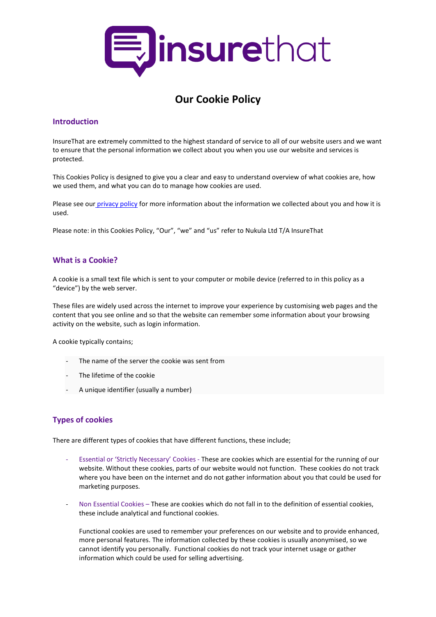

# **Our Cookie Policy**

#### **Introduction**

InsureThat are extremely committed to the highest standard of service to all of our website users and we want to ensure that the personal information we collect about you when you use our website and services is protected.

This Cookies Policy is designed to give you a clear and easy to understand overview of what cookies are, how we used them, and what you can do to manage how cookies are used.

Please see our [privacy policy](https://www.insurethat.com/resource/static/pdf/policies/privacy.pdf) for more information about the information we collected about you and how it is used.

Please note: in this Cookies Policy, "Our", "we" and "us" refer to Nukula Ltd T/A InsureThat

## **What is a Cookie?**

A cookie is a small text file which is sent to your computer or mobile device (referred to in this policy as a "device") by the web server.

These files are widely used across the internet to improve your experience by customising web pages and the content that you see online and so that the website can remember some information about your browsing activity on the website, such as login information.

A cookie typically contains;

- The name of the server the cookie was sent from
- The lifetime of the cookie
- A unique identifier (usually a number)

## **Types of cookies**

There are different types of cookies that have different functions, these include;

- Essential or 'Strictly Necessary' Cookies These are cookies which are essential for the running of our website. Without these cookies, parts of our website would not function. These cookies do not track where you have been on the internet and do not gather information about you that could be used for marketing purposes.
- Non Essential Cookies These are cookies which do not fall in to the definition of essential cookies, these include analytical and functional cookies.

Functional cookies are used to remember your preferences on our website and to provide enhanced, more personal features. The information collected by these cookies is usually anonymised, so we cannot identify you personally. Functional cookies do not track your internet usage or gather information which could be used for selling advertising.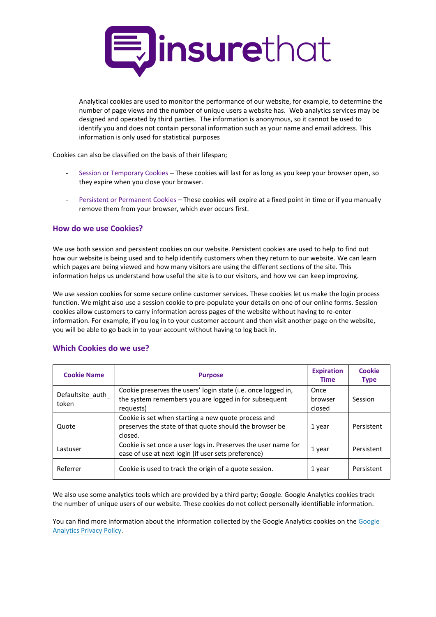

Analytical cookies are used to monitor the performance of our website, for example, to determine the number of page views and the number of unique users a website has. Web analytics services may be designed and operated by third parties. The information is anonymous, so it cannot be used to identify you and does not contain personal information such as your name and email address. This information is only used for statistical purposes

Cookies can also be classified on the basis of their lifespan;

- Session or Temporary Cookies These cookies will last for as long as you keep your browser open, so they expire when you close your browser.
- Persistent or Permanent Cookies These cookies will expire at a fixed point in time or if you manually remove them from your browser, which ever occurs first.

#### **How do we use Cookies?**

We use both session and persistent cookies on our website. Persistent cookies are used to help to find out how our website is being used and to help identify customers when they return to our website. We can learn which pages are being viewed and how many visitors are using the different sections of the site. This information helps us understand how useful the site is to our visitors, and how we can keep improving.

We use session cookies for some secure online customer services. These cookies let us make the login process function. We might also use a session cookie to pre-populate your details on one of our online forms. Session cookies allow customers to carry information across pages of the website without having to re-enter information. For example, if you log in to your customer account and then visit another page on the website, you will be able to go back in to your account without having to log back in.

#### **Which Cookies do we use?**

| <b>Cookie Name</b>         | <b>Purpose</b>                                                                                                                      | <b>Expiration</b><br><b>Time</b> | <b>Cookie</b><br><b>Type</b> |
|----------------------------|-------------------------------------------------------------------------------------------------------------------------------------|----------------------------------|------------------------------|
| Defaultsite_auth_<br>token | Cookie preserves the users' login state (i.e. once logged in,<br>the system remembers you are logged in for subsequent<br>requests) | Once<br>browser<br>closed        | Session                      |
| Quote                      | Cookie is set when starting a new quote process and<br>preserves the state of that quote should the browser be<br>closed.           | 1 year                           | Persistent                   |
| Lastuser                   | Cookie is set once a user logs in. Preserves the user name for<br>ease of use at next login (if user sets preference)               | 1 year                           | Persistent                   |
| Referrer                   | Cookie is used to track the origin of a quote session.                                                                              | 1 year                           | Persistent                   |

We also use some analytics tools which are provided by a third party; Google. Google Analytics cookies track the number of unique users of our website. These cookies do not collect personally identifiable information.

You can find more information about the information collected by th[e Google](https://support.google.com/analytics/answer/6004245?hl=en-GB) Analytics cookies on the Google [Analytics Privacy Policy.](https://support.google.com/analytics/answer/6004245?hl=en-GB)